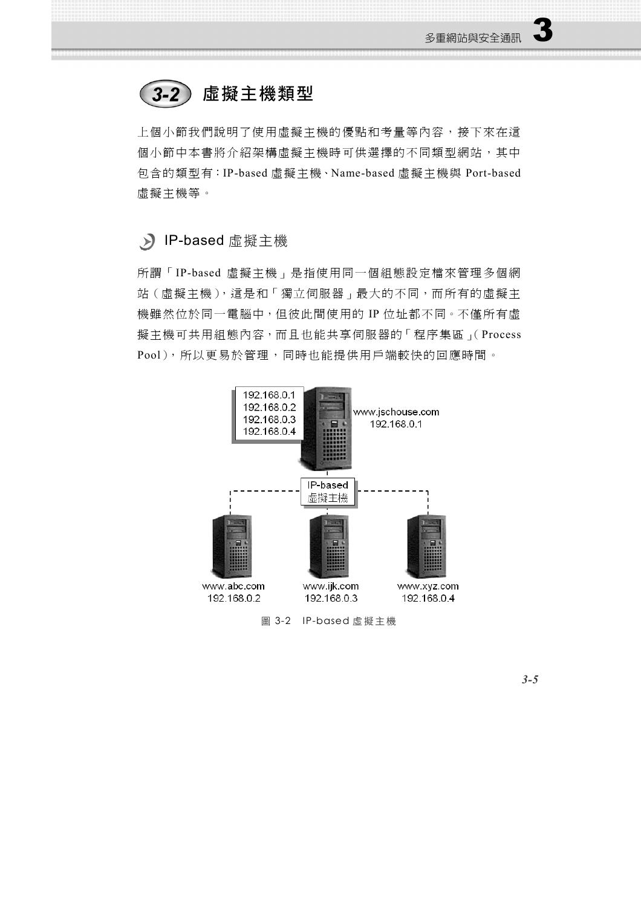#### 虛擬主機類型  $3-2)$

上個小節我們說明了使用虛擬主機的優點和考量等內容,接下來在這 個小節中本書將介紹架構虛擬主機時可供選擇的不同類型網站,其中 包含的類型有:IP-based 虛擬主機、Name-based 虛擬主機與 Port-based 虛擬主機等。

#### IP-based 虛擬主機

所謂「IP-based 虛擬主機」是指使用同一個組態設定檔來管理多個網 站(虛擬主機),這是和「獨立伺服器」最大的不同,而所有的虛擬主 機雖然位於同一電腦中,但彼此間使用的 IP 位址都不同。不僅所有虛 擬主機可共用組態內容,而且也能共享伺服器的「程序集區」(Process Pool),所以更易於管理,同時也能提供用戶端較快的回應時間。



圖 3-2 IP-based 虚擬主機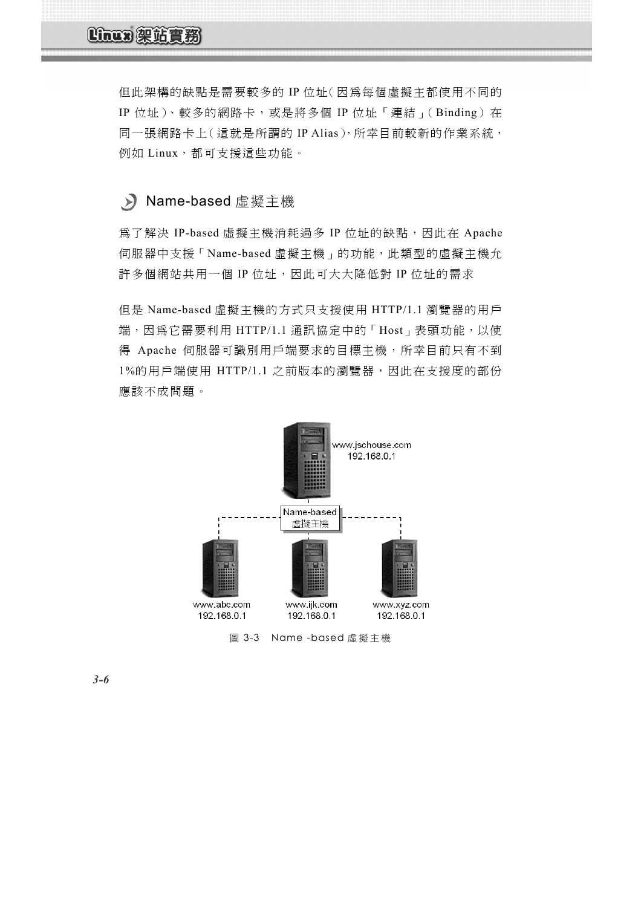# Linux 架站實務

但此架構的缺點是需要較多的 IP 位址(因為每個虛擬主都使用不同的 IP 位址)、較多的網路卡,或是將多個 IP 位址「連結」(Binding) 在 同一張網路卡上(這就是所謂的 IP Alias),所幸目前較新的作業系統, 例如 Linux,都可支援這些功能。

### Name-based 虛擬主機

為了解決 IP-based 虛擬主機消耗過多 IP 位址的缺點,因此在 Apache 伺服器中支援「Name-based 虛擬主機」的功能,此類型的虛擬主機允 許多個網站共用一個 IP 位址,因此可大大降低對 IP 位址的需求

但是 Name-based 虛擬主機的方式只支援使用 HTTP/1.1 瀏覽器的用戶 端,因為它需要利用 HTTP/1.1 通訊協定中的「Host」表頭功能,以使 得 Apache 伺服器可識別用戶端要求的目標主機,所幸目前只有不到 1%的用戶端使用 HTTP/1.1 之前版本的瀏覽器,因此在支援度的部份 應該不成問題。



圖 3-3 Name -based 虚擬主機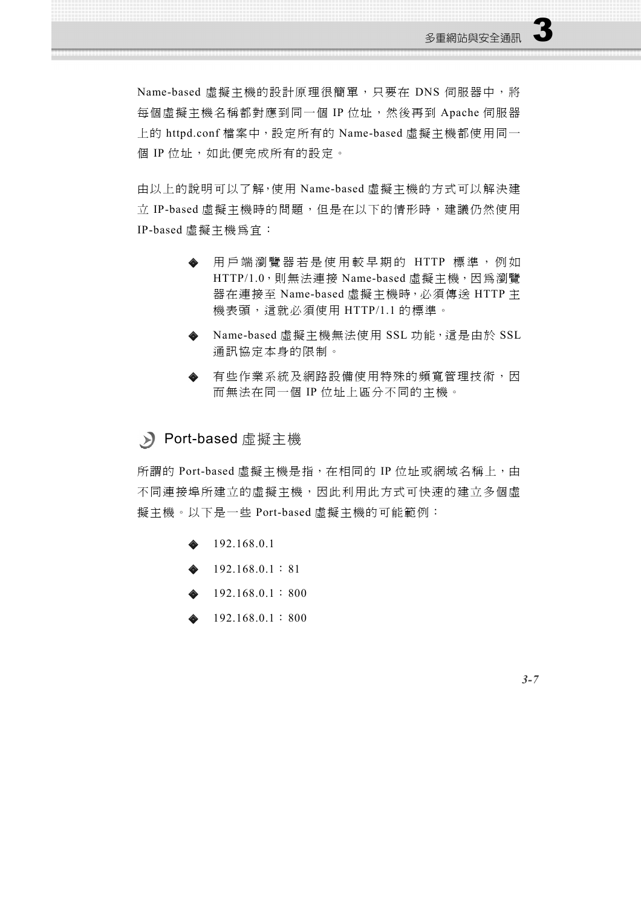Name-based 虛擬主機的設計原理很簡單,只要在 DNS 伺服器中,將 每個虛擬主機名稱都對應到同一個 IP 位址,然後再到 Apache 伺服器 上的 httpd.conf 檔案中,設定所有的 Name-based 虛擬主機都使用同一 個 IP 位址,如此便完成所有的設定。

由以上的說明可以了解,使用 Name-based 虛擬主機的方式可以解決建 立 IP-based 虛擬主機時的問題,但是在以下的情形時,建議仍然使用 IP-based 虛擬主機為官:

- 用戶端瀏覽器若是使用較早期的 HTTP 標準,例如 HTTP/1.0,則無法連接 Name-based 虛擬主機,因為瀏覽 器在連接至 Name-based 虛擬主機時,必須傳送 HTTP 主 機表頭,這就必須使用 HTTP/1.1 的標準。
- Name-based 虛擬主機無法使用 SSL 功能,這是由於 SSL 通訊協定本身的限制。
- 有些作業系統及網路設備使用特殊的頻寬管理技術,因 而無法在同一個 IP 位址上區分不同的主機。

#### Port-based 虛擬主機

所謂的 Port-based 虛擬主機是指,在相同的 IP 位址或網域名稱上,由 不同連接埠所建立的虛擬主機,因此利用此方式可快速的建立多個虛 擬主機。以下是一些 Port-based 虛擬主機的可能範例:

- 192.168.0.1
- $\triangle$  192.168.0.1:81
- 192.168.0.1:800
- 192.168.0.1:800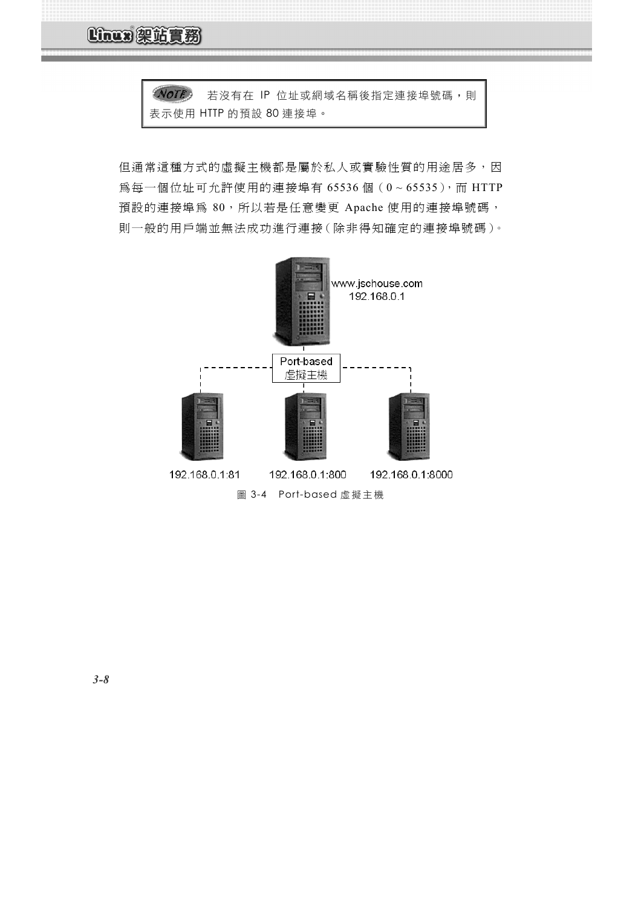**Linux 架站實務** 

NOTE 若沒有在 IP 位址或網域名稱後指定連接埠號碼,則 表示使用 HTTP 的預設 80 連接埠。

但通常這種方式的虛擬主機都是屬於私人或實驗性質的用途居多,因 為每一個位址可允許使用的連接埠有 65536個 (0~65535), 而 HTTP 預設的連接埠為 80,所以若是任意變更 Apache 使用的連接埠號碼, 則一般的用戶端並無法成功進行連接(除非得知確定的連接埠號碼)。

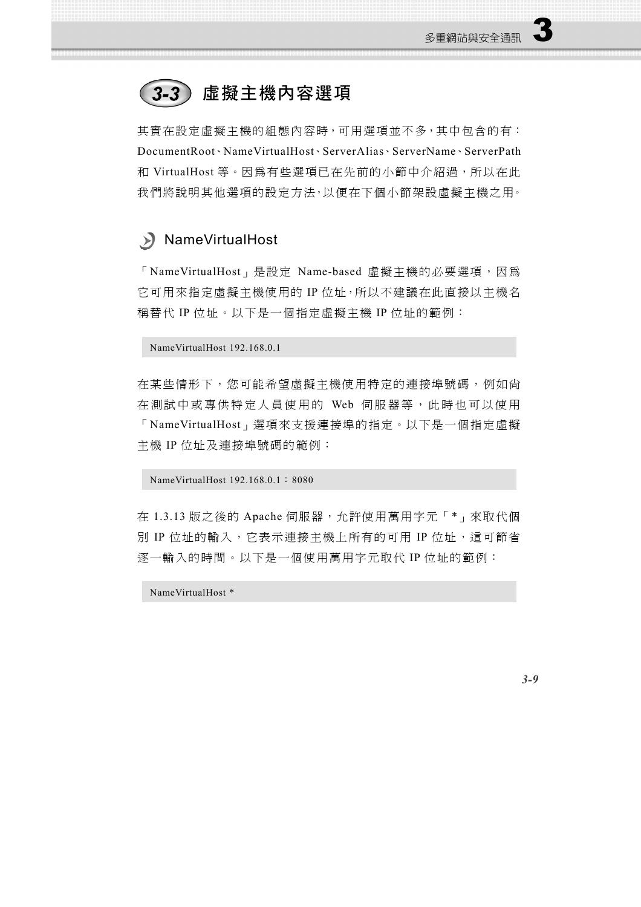# 3-3) 虛擬主機內容選項

其實在設定虛擬主機的組態內容時,可用選項並不多,其中包含的有: DocumentRoot、NameVirtualHost、ServerAlias、ServerName、ServerPath 和 VirtualHost 等。因為有些選項已在先前的小節中介紹過, 所以在此 我們將說明其他選項的設定方法,以便在下個小節架設虛擬主機之用。

## NameVirtualHost

「NameVirtualHost」是設定 Name-based 虛擬主機的必要選項,因為 它可用來指定虛擬主機使用的 IP 位址,所以不建議在此直接以主機名 稱替代 IP 位址。以下是一個指定虛擬主機 IP 位址的範例:

NameVirtualHost 192.168.0.1

在某些情形下,您可能希望虛擬主機使用特定的連接埠號碼,例如尚 在測試中或專供特定人員使用的 Web 伺服器等, 此時也可以使用 「NameVirtualHost」選項來支援連接埠的指定。以下是一個指定虛擬 主機 IP 位址及連接埠號碼的範例:

NameVirtualHost 192.168.0.1:8080

在 1.3.13 版之後的 Apache 伺服器,允許使用萬用字元「\*」來取代個 別 IP 位址的輸入,它表示連接主機上所有的可用 IP 位址,這可節省 逐一輸入的時間。以下是一個使用萬用字元取代 IP 位址的範例:

NameVirtualHost \*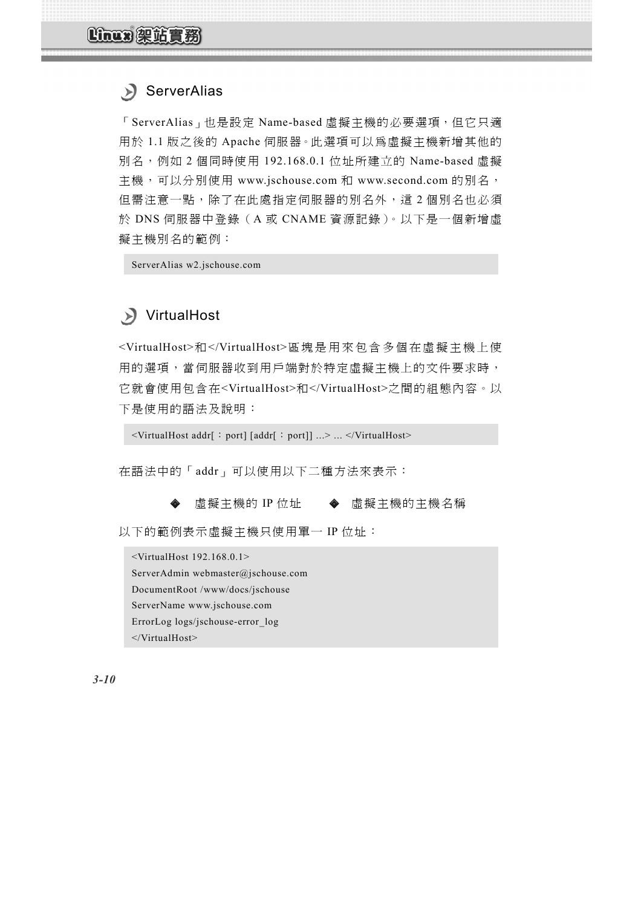## ServerAlias

「ServerAlias」也是設定 Name-based 虛擬主機的必要選項,但它只適 用於 1.1 版之後的 Apache 伺服器。此選項可以為虛擬主機新增其他的 別名,例如 2 個同時使用 192.168.0.1 位址所建立的 Name-based 虛擬 主機,可以分別使用 www.jschouse.com 和 www.second.com 的別名, 但需注意一點,除了在此處指定伺服器的別名外,這2個別名也必須 於 DNS 伺服器中登錄(A 或 CNAME 資源記錄)。以下是一個新增虛 擬主機別名的範例:

ServerAlias w2.jschouse.com

# VirtualHost

<VirtualHost>和</VirtualHost>區塊是用來包含多個在虛擬主機上使 用的選項,當伺服器收到用戶端對於特定虛擬主機上的文件要求時, 它就會使用包含在<VirtualHost>和</VirtualHost>之間的組態內容。以 下是使用的語法及說明:

<VirtualHost addr[: port] [addr[: port]] ...> ... </VirtualHost>

在語法中的「addr」可以使用以下二種方法來表示:

虛擬主機的 IP 位址 ◆ 虛擬主機的主機名稱

以下的範例表示虛擬主機只使用單一 IP 位址:

<VirtualHost 192.168.0.1> ServerAdmin webmaster@jschouse.com DocumentRoot /www/docs/jschouse ServerName www.jschouse.com ErrorLog logs/jschouse-error\_log </VirtualHost>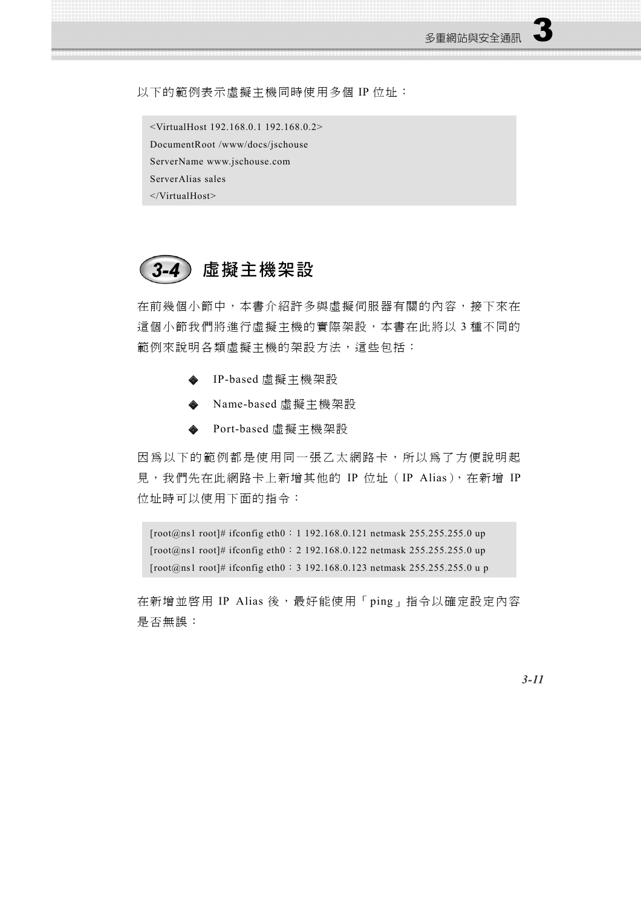以下的範例表示虛擬主機同時使用多個 IP 位址:

```
<VirtualHost 192.168.0.1 192.168.0.2>
DocumentRoot /www/docs/jschouse
ServerName www.jschouse.com
ServerAlias sales 
</VirtualHost>
```


在前幾個小節中,本書介紹許多與虛擬伺服器有關的內容,接下來在 這個小節我們將進行虛擬主機的實際架設,本書在此將以3種不同的 範例來說明各類虛擬主機的架設方法,這些包括:

- IP-based 虛擬主機架設
- Name-based 虛擬主機架設
- Port-based 虛擬主機架設

因為以下的範例都是使用同一張乙太網路卡,所以為了方便說明起 見,我們先在此網路卡上新增其他的 IP 位址(IP Alias),在新增 IP 位址時可以使用下面的指令:

[root@ns1 root]# ifconfig eth0:1 192.168.0.121 netmask 255.255.255.0 up [root@ns1 root]# ifconfig eth0:2 192.168.0.122 netmask 255.255.255.0 up [root@ns1 root]# ifconfig eth0:3 192.168.0.123 netmask 255.255.255.0 u p

在新增並啓用 IP Alias 後,最好能使用「ping」指令以確定設定內容 是否無誤: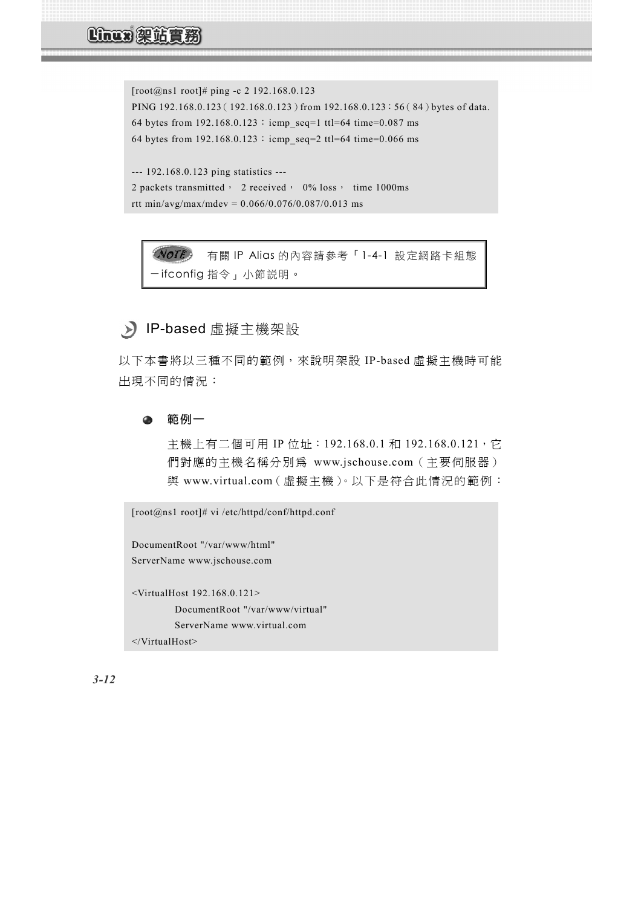[root@ns1 root]# ping -c 2 192.168.0.123 PING 192.168.0.123 (192.168.0.123) from 192.168.0.123:56(84) bytes of data. 64 bytes from  $192.168.0.123$ : icmp\_seq=1 ttl=64 time=0.087 ms 64 bytes from  $192.168.0.123$ : icmp\_seq=2 ttl=64 time=0.066 ms --- 192.168.0.123 ping statistics ---

2 packets transmitted, 2 received, 0% loss, time 1000ms rtt min/avg/max/mdev =  $0.066/0.076/0.087/0.013$  ms

有關 IP Alias 的內容請參考「1-4-1 設定網路卡組態 -ifconfig 指令」小節說明。

## > IP-based 虛擬主機架設

以下本書將以三種不同的範例,來說明架設 IP-based 虛擬主機時可能 出現不同的情況:

範例一  $\bullet$ 

> 主機上有二個可用 IP 位址: 192.168.0.1 和 192.168.0.121, 它 們對應的主機名稱分別為 www.jschouse.com(主要伺服器) 與 www.virtual.com(虛擬主機)。以下是符合此情況的範例:

```
[root@ns1 root]# vi /etc/httpd/conf/httpd.conf
DocumentRoot "/var/www/html"
ServerName www.jschouse.com
<VirtualHost 192.168.0.121>
          DocumentRoot "/var/www/virtual"
          ServerName www.virtual.com
</VirtualHost>
```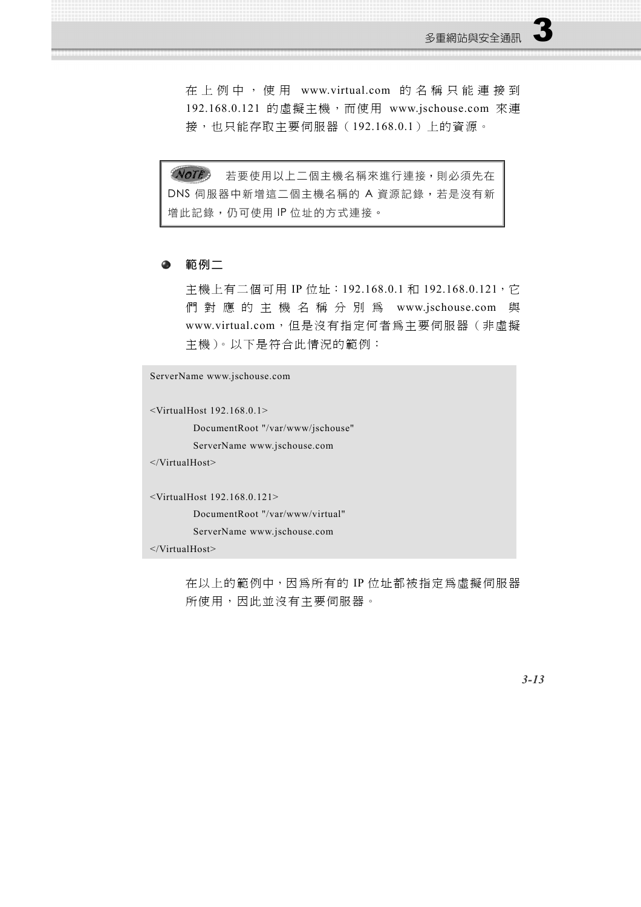在 上例中 ,使用 www.virtual.com 的名稱 只能連 接 到 192.168.0.121 的虛擬主機,而使用 www.jschouse.com 來連 接,也只能存取主要伺服器(192.168.0.1)上的資源。

NOTE<sub>2</sub> 若要使用以上二個主機名稱來進行連接,則必須先在 DNS 伺服器中新增這二個主機名稱的 A 資源記錄,若是沒有新 增此記錄,仍可使用 IP 位址的方式連接。

#### ● 範例二

主機上有二個可用 IP 位址: 192.168.0.1 和 192.168.0.121, 它 們對應的主機名稱分別為 www.jschouse.com 與 www.virtual.com,但是沒有指定何者為主要伺服器(非虛擬 主機)。以下是符合此情況的範例:

ServerName www.jschouse.com <VirtualHost 192.168.0.1> DocumentRoot "/var/www/jschouse" ServerName www.jschouse.com </VirtualHost> <VirtualHost 192.168.0.121> DocumentRoot "/var/www/virtual" ServerName www.jschouse.com </VirtualHost>

> 在以上的範例中,因為所有的 IP 位址都被指定為虛擬伺服器 **所使用,因此並沒有主要伺服器。**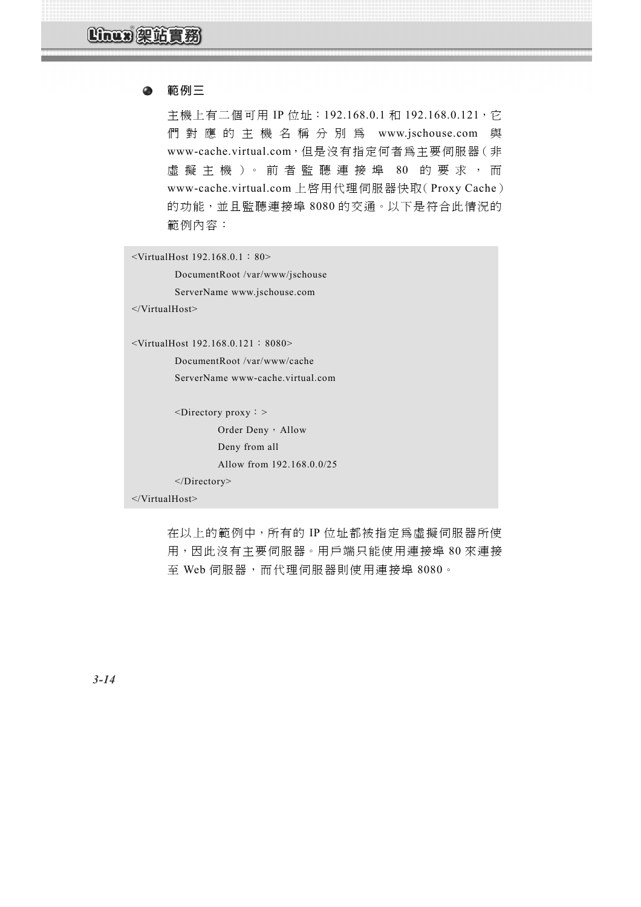```
\bullet範例三
```
主機上有二個可用 IP 位址: 192.168.0.1 和 192.168.0.121, 它 們對應的主機名稱分別為 www.jschouse.com 與 www-cache.virtual.com,但是沒有指定何者為主要伺服器(非 虛擬主機)。前者監聽連接埠 80 的要求,而 www-cache.virtual.com 上啟用代理伺服器快取(Proxy Cache) 的功能,並且監聽連接埠 8080 的交通。以下是符合此情況的 範例內容:

<VirtualHost 192.168.0.1:80>

 DocumentRoot /var/www/jschouse ServerName www.jschouse.com

</VirtualHost>

<VirtualHost 192.168.0.121:8080>

 DocumentRoot /var/www/cache ServerName www-cache.virtual.com

```
<Directory proxy: >
         Order Deny, Allow
          Deny from all
          Allow from 192.168.0.0/25 
 </Directory>
```
</VirtualHost>

在以上的範例中,所有的 IP 位址都被指定為虛擬伺服器所使 用,因此沒有主要伺服器。用戶端只能使用連接埠 80 來連接 至 Web 伺服器,而代理伺服器則使用連接埠 8080。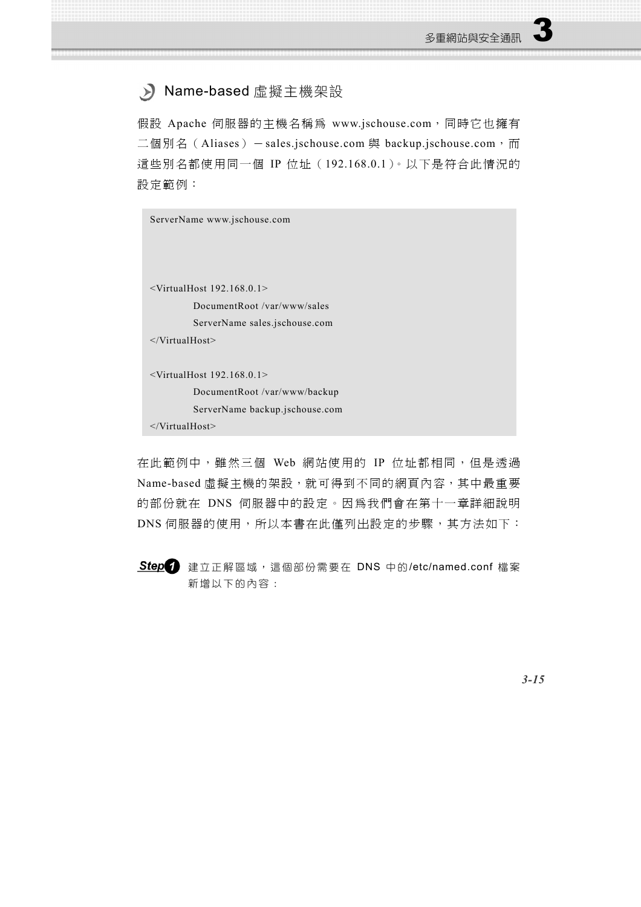## > Name-based 虛擬主機架設

假設 Apache 伺服器的主機名稱為 www.jschouse.com, 同時它也擁有 二個別名 (Aliases) - sales.jschouse.com 與 backup.jschouse.com, 而 這些別名都使用同一個 IP 位址 (192.168.0.1)。以下是符合此情況的 設定範例:

| ServerName www.jschouse.com    |
|--------------------------------|
|                                |
|                                |
| $\le$ VirtualHost 192.168.0.1> |
| DocumentRoot/var/www/sales     |
| ServerName sales.jschouse.com  |
| $\langle$ /VirtualHost>        |
|                                |
| $\le$ VirtualHost 192.168.0.1> |
| DocumentRoot /var/www/backup   |
| ServerName backup.jschouse.com |
| $\langle$ /VirtualHost>        |
|                                |

在此範例中,雖然三個 Web 網站使用的 IP 位址都相同,但是透過 Name-based 虛擬主機的架設,就可得到不同的網頁內容,其中最重要 的部份就在 DNS 伺服器中的設定。因為我們會在第十一章詳細說明 DNS 伺服器的使用,所以本書在此僅列出設定的步驟,其方法如下:

Step<br />
建立正解區域,這個部份需要在 DNS 中的/etc/named.conf 檔案 新增以下的內容: